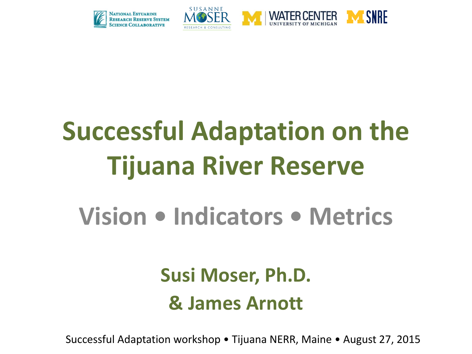



# **Successful Adaptation on the Tijuana River Reserve**

## **Vision • Indicators • Metrics**

### **Susi Moser, Ph.D. & James Arnott**

Successful Adaptation workshop • Tijuana NERR, Maine • August 27, 2015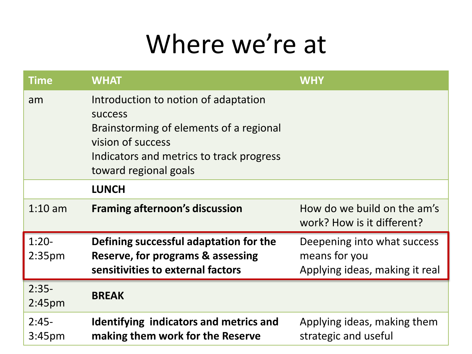## Where we're at

| <b>Time</b>                   | <b>WHAT</b>                                                                                                                                                                                 | <b>WHY</b>                                                                     |
|-------------------------------|---------------------------------------------------------------------------------------------------------------------------------------------------------------------------------------------|--------------------------------------------------------------------------------|
| am                            | Introduction to notion of adaptation<br><b>SUCCESS</b><br>Brainstorming of elements of a regional<br>vision of success<br>Indicators and metrics to track progress<br>toward regional goals |                                                                                |
|                               | <b>LUNCH</b>                                                                                                                                                                                |                                                                                |
| $1:10$ am                     | <b>Framing afternoon's discussion</b>                                                                                                                                                       | How do we build on the am's<br>work? How is it different?                      |
| $1:20-$<br>2:35 <sub>pm</sub> | Defining successful adaptation for the<br>Reserve, for programs & assessing<br>sensitivities to external factors                                                                            | Deepening into what success<br>means for you<br>Applying ideas, making it real |
| $2:35-$<br>2:45 <sub>pm</sub> | <b>BREAK</b>                                                                                                                                                                                |                                                                                |
| $2:45-$<br>3:45 <sub>pm</sub> | Identifying indicators and metrics and<br>making them work for the Reserve                                                                                                                  | Applying ideas, making them<br>strategic and useful                            |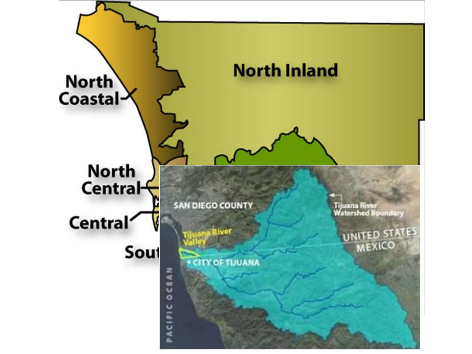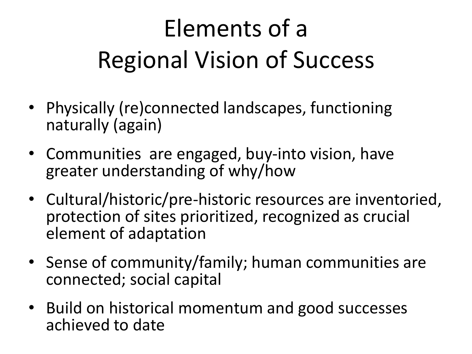# Elements of a Regional Vision of Success

- Physically (re)connected landscapes, functioning naturally (again)
- Communities are engaged, buy-into vision, have greater understanding of why/how
- Cultural/historic/pre-historic resources are inventoried, protection of sites prioritized, recognized as crucial element of adaptation
- Sense of community/family; human communities are connected; social capital
- Build on historical momentum and good successes achieved to date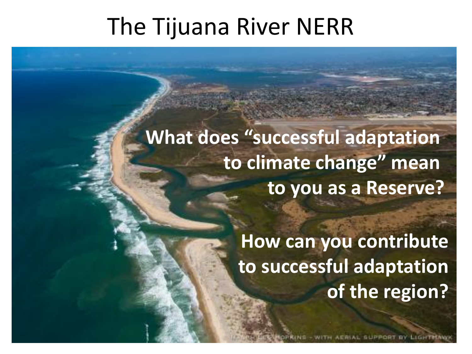### The Tijuana River NERR

#### **What does "successful adaptation to climate change" mean to you as a Reserve?**

**How can you contribute to successful adaptation of the region?**

AERIAL GUPPORT BY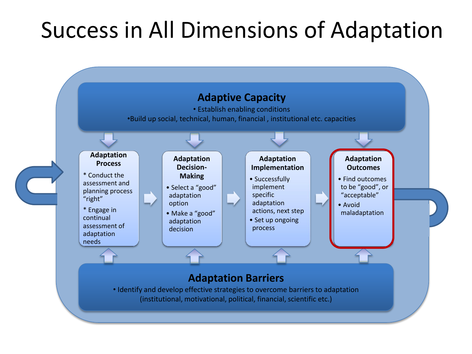### Success in All Dimensions of Adaptation

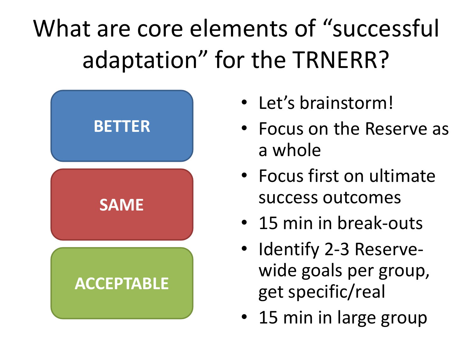# What are core elements of "successful adaptation" for the TRNERR?



- Let's brainstorm!
- Focus on the Reserve as a whole
- Focus first on ultimate success outcomes
- 15 min in break-outs
- Identify 2-3 Reservewide goals per group, get specific/real
- 15 min in large group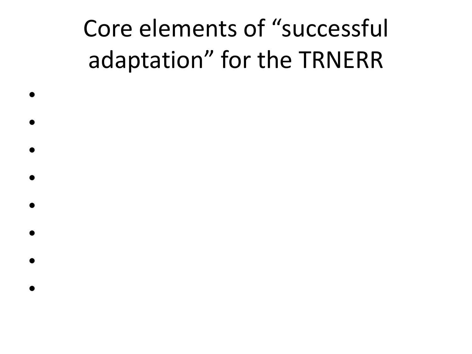## Core elements of "successful adaptation" for the TRNERR

•

•

•

•

•

•

- 
- •
	-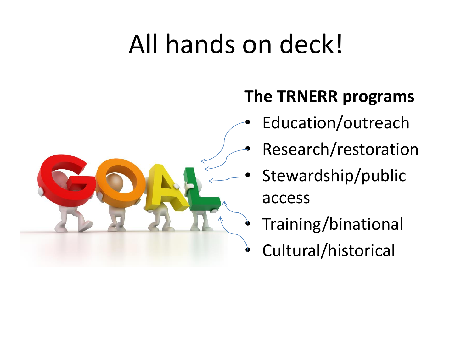# All hands on deck!



#### **The TRNERR programs**

- Education/outreach
- Research/restoration
- Stewardship/public access
- Training/binational
- Cultural/historical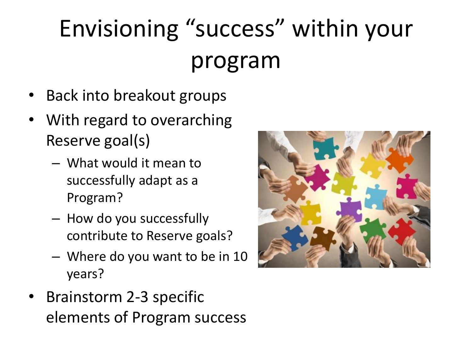# Envisioning "success" within your program

- Back into breakout groups
- With regard to overarching Reserve goal(s)
	- What would it mean to successfully adapt as a Program?
	- How do you successfully contribute to Reserve goals?
	- Where do you want to be in 10 years?
- Brainstorm 2-3 specific elements of Program success

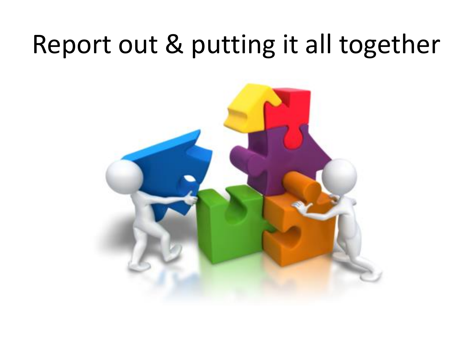## Report out & putting it all together

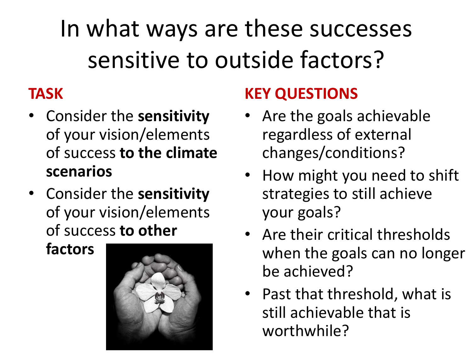In what ways are these successes sensitive to outside factors?

#### **TASK**

- Consider the **sensitivity**  of your vision/elements of success **to the climate scenarios**
- Consider the **sensitivity** of your vision/elements of success **to other**

**factors**



#### **KEY QUESTIONS**

- Are the goals achievable regardless of external changes/conditions?
- How might you need to shift strategies to still achieve your goals?
- Are their critical thresholds when the goals can no longer be achieved?
- Past that threshold, what is still achievable that is worthwhile?